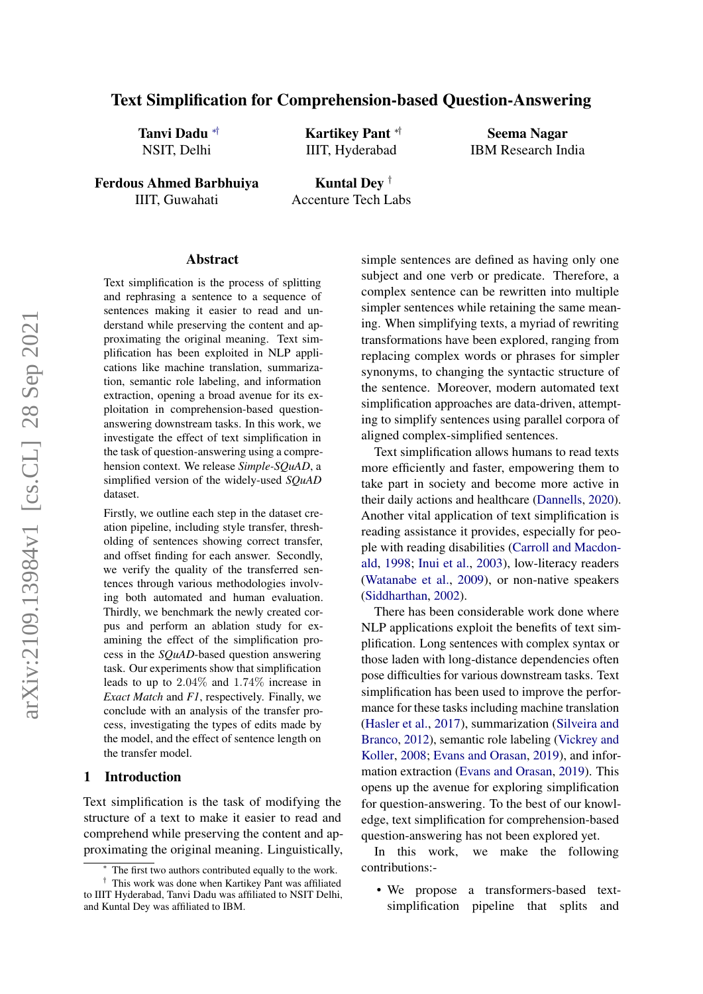# Text Simplification for Comprehension-based Question-Answering

Tanvi Dadu ∗† NSIT, Delhi

Ferdous Ahmed Barbhuiya IIIT, Guwahati

Kartikey Pant ∗† IIIT, Hyderabad

Seema Nagar IBM Research India

Kuntal Dey † Accenture Tech Labs

### Abstract

Text simplification is the process of splitting and rephrasing a sentence to a sequence of sentences making it easier to read and understand while preserving the content and approximating the original meaning. Text simplification has been exploited in NLP applications like machine translation, summarization, semantic role labeling, and information extraction, opening a broad avenue for its exploitation in comprehension-based questionanswering downstream tasks. In this work, we investigate the effect of text simplification in the task of question-answering using a comprehension context. We release *Simple-SQuAD*, a simplified version of the widely-used *SQuAD* dataset.

Firstly, we outline each step in the dataset creation pipeline, including style transfer, thresholding of sentences showing correct transfer, and offset finding for each answer. Secondly, we verify the quality of the transferred sentences through various methodologies involving both automated and human evaluation. Thirdly, we benchmark the newly created corpus and perform an ablation study for examining the effect of the simplification process in the *SQuAD*-based question answering task. Our experiments show that simplification leads to up to 2.04% and 1.74% increase in *Exact Match* and *F1*, respectively. Finally, we conclude with an analysis of the transfer process, investigating the types of edits made by the model, and the effect of sentence length on the transfer model.

### 1 Introduction

Text simplification is the task of modifying the structure of a text to make it easier to read and comprehend while preserving the content and approximating the original meaning. Linguistically, simple sentences are defined as having only one subject and one verb or predicate. Therefore, a complex sentence can be rewritten into multiple simpler sentences while retaining the same meaning. When simplifying texts, a myriad of rewriting transformations have been explored, ranging from replacing complex words or phrases for simpler synonyms, to changing the syntactic structure of the sentence. Moreover, modern automated text simplification approaches are data-driven, attempting to simplify sentences using parallel corpora of aligned complex-simplified sentences.

Text simplification allows humans to read texts more efficiently and faster, empowering them to take part in society and become more active in their daily actions and healthcare [\(Dannells,](#page-7-0) [2020\)](#page-7-0). Another vital application of text simplification is reading assistance it provides, especially for people with reading disabilities [\(Carroll and Macdon](#page-7-1)[ald,](#page-7-1) [1998;](#page-7-1) [Inui et al.,](#page-8-0) [2003\)](#page-8-0), low-literacy readers [\(Watanabe et al.,](#page-8-1) [2009\)](#page-8-1), or non-native speakers [\(Siddharthan,](#page-8-2) [2002\)](#page-8-2).

There has been considerable work done where NLP applications exploit the benefits of text simplification. Long sentences with complex syntax or those laden with long-distance dependencies often pose difficulties for various downstream tasks. Text simplification has been used to improve the performance for these tasks including machine translation [\(Hasler et al.,](#page-7-2) [2017\)](#page-7-2), summarization [\(Silveira and](#page-8-3) [Branco,](#page-8-3) [2012\)](#page-8-3), semantic role labeling [\(Vickrey and](#page-8-4) [Koller,](#page-8-4) [2008;](#page-8-4) [Evans and Orasan,](#page-7-3) [2019\)](#page-7-3), and information extraction [\(Evans and Orasan,](#page-7-3) [2019\)](#page-7-3). This opens up the avenue for exploring simplification for question-answering. To the best of our knowledge, text simplification for comprehension-based question-answering has not been explored yet.

In this work, we make the following contributions:-

• We propose a transformers-based textsimplification pipeline that splits and

The first two authors contributed equally to the work.

<sup>†</sup> This work was done when Kartikey Pant was affiliated to IIIT Hyderabad, Tanvi Dadu was affiliated to NSIT Delhi, and Kuntal Dey was affiliated to IBM.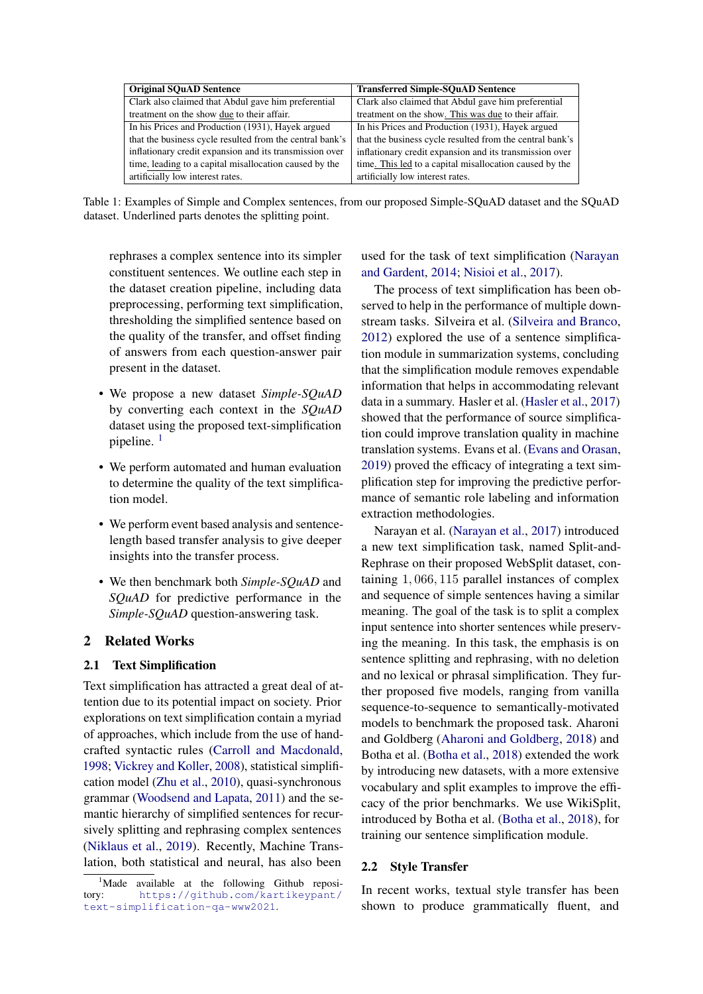| <b>Original SQuAD Sentence</b>                           | <b>Transferred Simple-SQuAD Sentence</b>                 |
|----------------------------------------------------------|----------------------------------------------------------|
| Clark also claimed that Abdul gave him preferential      | Clark also claimed that Abdul gave him preferential      |
| treatment on the show due to their affair.               | treatment on the show. This was due to their affair.     |
| In his Prices and Production (1931), Hayek argued        | In his Prices and Production (1931), Hayek argued        |
| that the business cycle resulted from the central bank's | that the business cycle resulted from the central bank's |
| inflationary credit expansion and its transmission over  | inflationary credit expansion and its transmission over  |
| time, leading to a capital misallocation caused by the   | time. This led to a capital misallocation caused by the  |
| artificially low interest rates.                         | artificially low interest rates.                         |

Table 1: Examples of Simple and Complex sentences, from our proposed Simple-SQuAD dataset and the SQuAD dataset. Underlined parts denotes the splitting point.

rephrases a complex sentence into its simpler constituent sentences. We outline each step in the dataset creation pipeline, including data preprocessing, performing text simplification, thresholding the simplified sentence based on the quality of the transfer, and offset finding of answers from each question-answer pair present in the dataset.

- We propose a new dataset *Simple-SQuAD* by converting each context in the *SQuAD* dataset using the proposed text-simplification pipeline.  $<sup>1</sup>$  $<sup>1</sup>$  $<sup>1</sup>$ </sup>
- We perform automated and human evaluation to determine the quality of the text simplification model.
- We perform event based analysis and sentencelength based transfer analysis to give deeper insights into the transfer process.
- We then benchmark both *Simple-SQuAD* and *SQuAD* for predictive performance in the *Simple-SQuAD* question-answering task.

## 2 Related Works

### 2.1 Text Simplification

Text simplification has attracted a great deal of attention due to its potential impact on society. Prior explorations on text simplification contain a myriad of approaches, which include from the use of handcrafted syntactic rules [\(Carroll and Macdonald,](#page-7-1) [1998;](#page-7-1) [Vickrey and Koller,](#page-8-4) [2008\)](#page-8-4), statistical simplification model [\(Zhu et al.,](#page-9-0) [2010\)](#page-9-0), quasi-synchronous grammar [\(Woodsend and Lapata,](#page-9-1) [2011\)](#page-9-1) and the semantic hierarchy of simplified sentences for recursively splitting and rephrasing complex sentences [\(Niklaus et al.,](#page-8-5) [2019\)](#page-8-5). Recently, Machine Translation, both statistical and neural, has also been

used for the task of text simplification [\(Narayan](#page-8-6) [and Gardent,](#page-8-6) [2014;](#page-8-6) [Nisioi et al.,](#page-8-7) [2017\)](#page-8-7).

The process of text simplification has been observed to help in the performance of multiple downstream tasks. Silveira et al. [\(Silveira and Branco,](#page-8-3) [2012\)](#page-8-3) explored the use of a sentence simplification module in summarization systems, concluding that the simplification module removes expendable information that helps in accommodating relevant data in a summary. Hasler et al. [\(Hasler et al.,](#page-7-2) [2017\)](#page-7-2) showed that the performance of source simplification could improve translation quality in machine translation systems. Evans et al. [\(Evans and Orasan,](#page-7-3) [2019\)](#page-7-3) proved the efficacy of integrating a text simplification step for improving the predictive performance of semantic role labeling and information extraction methodologies.

Narayan et al. [\(Narayan et al.,](#page-8-8) [2017\)](#page-8-8) introduced a new text simplification task, named Split-and-Rephrase on their proposed WebSplit dataset, containing 1, 066, 115 parallel instances of complex and sequence of simple sentences having a similar meaning. The goal of the task is to split a complex input sentence into shorter sentences while preserving the meaning. In this task, the emphasis is on sentence splitting and rephrasing, with no deletion and no lexical or phrasal simplification. They further proposed five models, ranging from vanilla sequence-to-sequence to semantically-motivated models to benchmark the proposed task. Aharoni and Goldberg [\(Aharoni and Goldberg,](#page-7-4) [2018\)](#page-7-4) and Botha et al. [\(Botha et al.,](#page-7-5) [2018\)](#page-7-5) extended the work by introducing new datasets, with a more extensive vocabulary and split examples to improve the efficacy of the prior benchmarks. We use WikiSplit, introduced by Botha et al. [\(Botha et al.,](#page-7-5) [2018\)](#page-7-5), for training our sentence simplification module.

### 2.2 Style Transfer

In recent works, textual style transfer has been shown to produce grammatically fluent, and

<span id="page-1-0"></span><sup>&</sup>lt;sup>1</sup>Made available at the following Github repository: [https://github.com/kartikeypant/](https://github.com/kartikeypant/text-simplification-qa-www2021) [text-simplification-qa-www2021](https://github.com/kartikeypant/text-simplification-qa-www2021).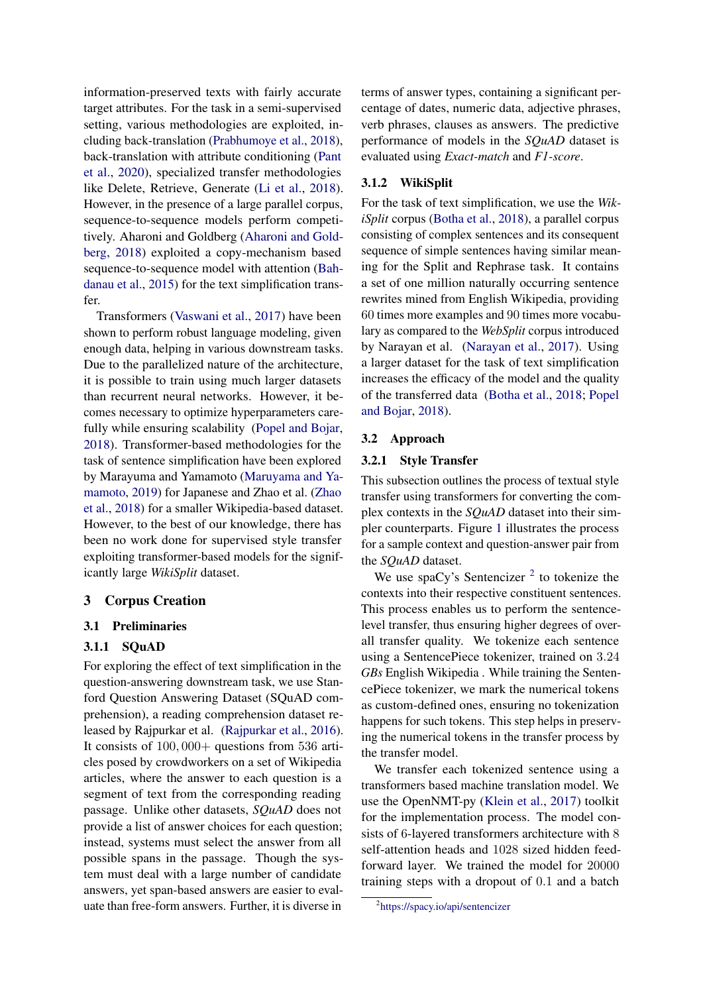information-preserved texts with fairly accurate target attributes. For the task in a semi-supervised setting, various methodologies are exploited, including back-translation [\(Prabhumoye et al.,](#page-8-9) [2018\)](#page-8-9), back-translation with attribute conditioning [\(Pant](#page-8-10) [et al.,](#page-8-10) [2020\)](#page-8-10), specialized transfer methodologies like Delete, Retrieve, Generate [\(Li et al.,](#page-8-11) [2018\)](#page-8-11). However, in the presence of a large parallel corpus, sequence-to-sequence models perform competitively. Aharoni and Goldberg [\(Aharoni and Gold](#page-7-4)[berg,](#page-7-4) [2018\)](#page-7-4) exploited a copy-mechanism based sequence-to-sequence model with attention [\(Bah](#page-7-6)[danau et al.,](#page-7-6) [2015\)](#page-7-6) for the text simplification transfer.

Transformers [\(Vaswani et al.,](#page-8-12) [2017\)](#page-8-12) have been shown to perform robust language modeling, given enough data, helping in various downstream tasks. Due to the parallelized nature of the architecture, it is possible to train using much larger datasets than recurrent neural networks. However, it becomes necessary to optimize hyperparameters carefully while ensuring scalability [\(Popel and Bojar,](#page-8-13) [2018\)](#page-8-13). Transformer-based methodologies for the task of sentence simplification have been explored by Marayuma and Yamamoto [\(Maruyama and Ya](#page-8-14)[mamoto,](#page-8-14) [2019\)](#page-8-14) for Japanese and Zhao et al. [\(Zhao](#page-9-2) [et al.,](#page-9-2) [2018\)](#page-9-2) for a smaller Wikipedia-based dataset. However, to the best of our knowledge, there has been no work done for supervised style transfer exploiting transformer-based models for the significantly large *WikiSplit* dataset.

# 3 Corpus Creation

### 3.1 Preliminaries

### 3.1.1 SQuAD

For exploring the effect of text simplification in the question-answering downstream task, we use Stanford Question Answering Dataset (SQuAD comprehension), a reading comprehension dataset released by Rajpurkar et al. [\(Rajpurkar et al.,](#page-8-15) [2016\)](#page-8-15). It consists of  $100,000+$  questions from 536 articles posed by crowdworkers on a set of Wikipedia articles, where the answer to each question is a segment of text from the corresponding reading passage. Unlike other datasets, *SQuAD* does not provide a list of answer choices for each question; instead, systems must select the answer from all possible spans in the passage. Though the system must deal with a large number of candidate answers, yet span-based answers are easier to evaluate than free-form answers. Further, it is diverse in

terms of answer types, containing a significant percentage of dates, numeric data, adjective phrases, verb phrases, clauses as answers. The predictive performance of models in the *SQuAD* dataset is evaluated using *Exact-match* and *F1-score*.

### 3.1.2 WikiSplit

For the task of text simplification, we use the *WikiSplit* corpus [\(Botha et al.,](#page-7-5) [2018\)](#page-7-5), a parallel corpus consisting of complex sentences and its consequent sequence of simple sentences having similar meaning for the Split and Rephrase task. It contains a set of one million naturally occurring sentence rewrites mined from English Wikipedia, providing 60 times more examples and 90 times more vocabulary as compared to the *WebSplit* corpus introduced by Narayan et al. [\(Narayan et al.,](#page-8-8) [2017\)](#page-8-8). Using a larger dataset for the task of text simplification increases the efficacy of the model and the quality of the transferred data [\(Botha et al.,](#page-7-5) [2018;](#page-7-5) [Popel](#page-8-13) [and Bojar,](#page-8-13) [2018\)](#page-8-13).

#### 3.2 Approach

### 3.2.1 Style Transfer

This subsection outlines the process of textual style transfer using transformers for converting the complex contexts in the *SQuAD* dataset into their simpler counterparts. Figure [1](#page-3-0) illustrates the process for a sample context and question-answer pair from the *SQuAD* dataset.

We use spaCy's Sentencizer  $2$  to tokenize the contexts into their respective constituent sentences. This process enables us to perform the sentencelevel transfer, thus ensuring higher degrees of overall transfer quality. We tokenize each sentence using a SentencePiece tokenizer, trained on 3.24 *GBs* English Wikipedia . While training the SentencePiece tokenizer, we mark the numerical tokens as custom-defined ones, ensuring no tokenization happens for such tokens. This step helps in preserving the numerical tokens in the transfer process by the transfer model.

We transfer each tokenized sentence using a transformers based machine translation model. We use the OpenNMT-py [\(Klein et al.,](#page-8-16) [2017\)](#page-8-16) toolkit for the implementation process. The model consists of 6-layered transformers architecture with 8 self-attention heads and 1028 sized hidden feedforward layer. We trained the model for 20000 training steps with a dropout of 0.1 and a batch

<span id="page-2-0"></span><sup>2</sup> <https://spacy.io/api/sentencizer>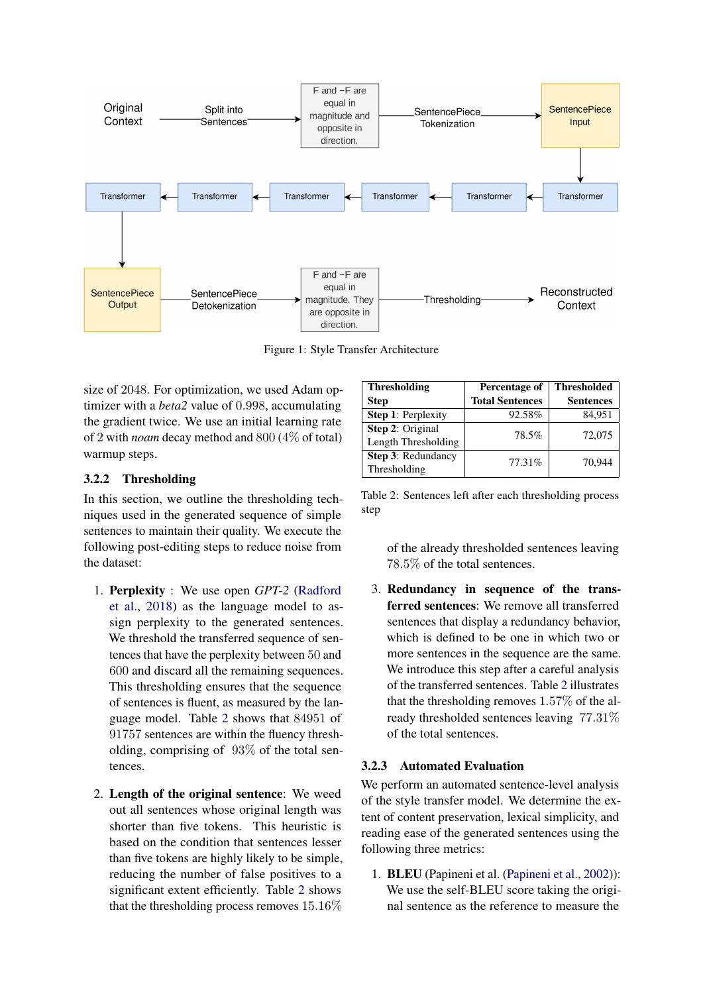<span id="page-3-0"></span>

Figure 1: Style Transfer Architecture

size of 2048. For optimization, we used Adam optimizer with a *beta2* value of 0.998, accumulating the gradient twice. We use an initial learning rate of 2 with *noam* decay method and 800 (4% of total) warmup steps.

# 3.2.2 Thresholding

In this section, we outline the thresholding techniques used in the generated sequence of simple sentences to maintain their quality. We execute the following post-editing steps to reduce noise from the dataset:

- 1. Perplexity : We use open *GPT-2* [\(Radford](#page-8-17) [et al.,](#page-8-17) [2018\)](#page-8-17) as the language model to assign perplexity to the generated sentences. We threshold the transferred sequence of sentences that have the perplexity between 50 and 600 and discard all the remaining sequences. This thresholding ensures that the sequence of sentences is fluent, as measured by the language model. Table [2](#page-3-1) shows that 84951 of 91757 sentences are within the fluency thresholding, comprising of 93% of the total sentences.
- 2. Length of the original sentence: We weed out all sentences whose original length was shorter than five tokens. This heuristic is based on the condition that sentences lesser than five tokens are highly likely to be simple, reducing the number of false positives to a significant extent efficiently. Table [2](#page-3-1) shows that the thresholding process removes 15.16%

<span id="page-3-1"></span>

| <b>Thresholding</b>     | Percentage of          | <b>Thresholded</b> |  |
|-------------------------|------------------------|--------------------|--|
| <b>Step</b>             | <b>Total Sentences</b> | <b>Sentences</b>   |  |
| Step 1: Perplexity      | 92.58%                 | 84,951             |  |
| <b>Step 2: Original</b> | 78.5%                  | 72,075             |  |
| Length Thresholding     |                        |                    |  |
| Step 3: Redundancy      | 77.31%                 | 70.944             |  |
| Thresholding            |                        |                    |  |

Table 2: Sentences left after each thresholding process step

> of the already thresholded sentences leaving 78.5% of the total sentences.

3. Redundancy in sequence of the transferred sentences: We remove all transferred sentences that display a redundancy behavior, which is defined to be one in which two or more sentences in the sequence are the same. We introduce this step after a careful analysis of the transferred sentences. Table [2](#page-3-1) illustrates that the thresholding removes 1.57% of the already thresholded sentences leaving 77.31% of the total sentences.

## 3.2.3 Automated Evaluation

We perform an automated sentence-level analysis of the style transfer model. We determine the extent of content preservation, lexical simplicity, and reading ease of the generated sentences using the following three metrics:

1. BLEU (Papineni et al. [\(Papineni et al.,](#page-8-18) [2002\)](#page-8-18)): We use the self-BLEU score taking the original sentence as the reference to measure the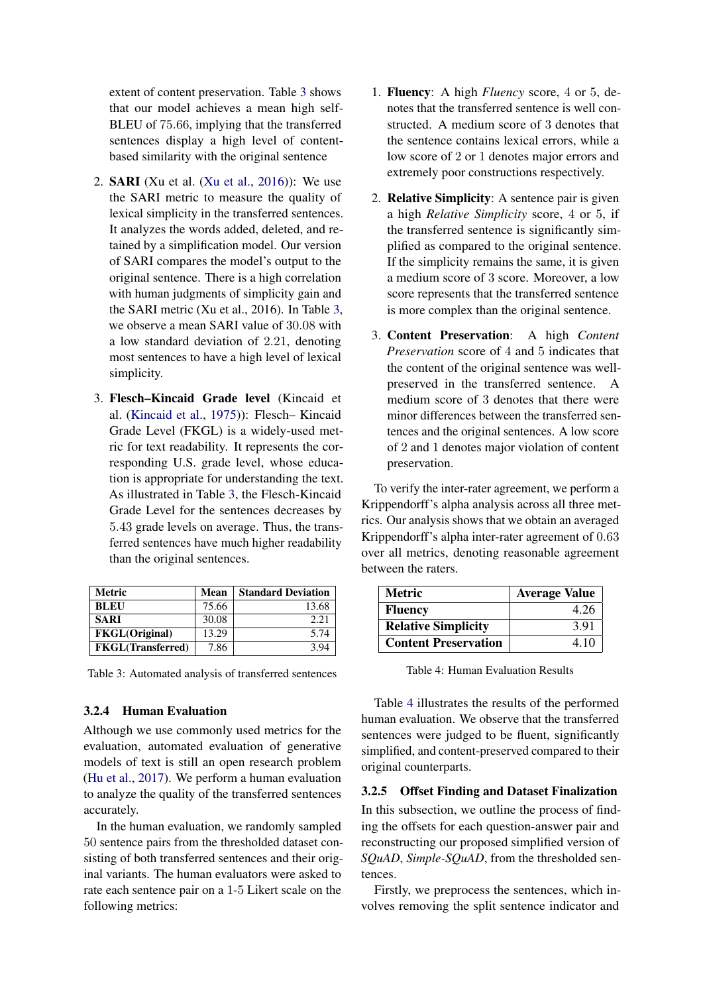extent of content preservation. Table [3](#page-4-0) shows that our model achieves a mean high self-BLEU of 75.66, implying that the transferred sentences display a high level of contentbased similarity with the original sentence

- 2. **SARI** (Xu et al. [\(Xu et al.,](#page-9-3) [2016\)](#page-9-3)): We use the SARI metric to measure the quality of lexical simplicity in the transferred sentences. It analyzes the words added, deleted, and retained by a simplification model. Our version of SARI compares the model's output to the original sentence. There is a high correlation with human judgments of simplicity gain and the SARI metric (Xu et al., 2016). In Table [3,](#page-4-0) we observe a mean SARI value of 30.08 with a low standard deviation of 2.21, denoting most sentences to have a high level of lexical simplicity.
- 3. Flesch–Kincaid Grade level (Kincaid et al. [\(Kincaid et al.,](#page-8-19) [1975\)](#page-8-19)): Flesch– Kincaid Grade Level (FKGL) is a widely-used metric for text readability. It represents the corresponding U.S. grade level, whose education is appropriate for understanding the text. As illustrated in Table [3,](#page-4-0) the Flesch-Kincaid Grade Level for the sentences decreases by 5.43 grade levels on average. Thus, the transferred sentences have much higher readability than the original sentences.

<span id="page-4-0"></span>

| Metric                    | Mean  | <b>Standard Deviation</b> |
|---------------------------|-------|---------------------------|
| <b>BLEU</b>               | 75.66 | 13.68                     |
| <b>SARI</b>               | 30.08 | 2.21                      |
| <b>FKGL(Original)</b>     | 13.29 | 5.74                      |
| <b>FKGL</b> (Transferred) | 7.86  | 3.94                      |

Table 3: Automated analysis of transferred sentences

### 3.2.4 Human Evaluation

Although we use commonly used metrics for the evaluation, automated evaluation of generative models of text is still an open research problem [\(Hu et al.,](#page-7-7) [2017\)](#page-7-7). We perform a human evaluation to analyze the quality of the transferred sentences accurately.

In the human evaluation, we randomly sampled 50 sentence pairs from the thresholded dataset consisting of both transferred sentences and their original variants. The human evaluators were asked to rate each sentence pair on a 1-5 Likert scale on the following metrics:

- 1. Fluency: A high *Fluency* score, 4 or 5, denotes that the transferred sentence is well constructed. A medium score of 3 denotes that the sentence contains lexical errors, while a low score of 2 or 1 denotes major errors and extremely poor constructions respectively.
- 2. Relative Simplicity: A sentence pair is given a high *Relative Simplicity* score, 4 or 5, if the transferred sentence is significantly simplified as compared to the original sentence. If the simplicity remains the same, it is given a medium score of 3 score. Moreover, a low score represents that the transferred sentence is more complex than the original sentence.
- 3. Content Preservation: A high *Content Preservation* score of 4 and 5 indicates that the content of the original sentence was wellpreserved in the transferred sentence. A medium score of 3 denotes that there were minor differences between the transferred sentences and the original sentences. A low score of 2 and 1 denotes major violation of content preservation.

To verify the inter-rater agreement, we perform a Krippendorff's alpha analysis across all three metrics. Our analysis shows that we obtain an averaged Krippendorff's alpha inter-rater agreement of 0.63 over all metrics, denoting reasonable agreement between the raters.

<span id="page-4-1"></span>

| <b>Metric</b>               | <b>Average Value</b> |
|-----------------------------|----------------------|
| <b>Fluency</b>              | 4.26                 |
| <b>Relative Simplicity</b>  | 3.91                 |
| <b>Content Preservation</b> | 4.10                 |

Table 4: Human Evaluation Results

Table [4](#page-4-1) illustrates the results of the performed human evaluation. We observe that the transferred sentences were judged to be fluent, significantly simplified, and content-preserved compared to their original counterparts.

#### 3.2.5 Offset Finding and Dataset Finalization

In this subsection, we outline the process of finding the offsets for each question-answer pair and reconstructing our proposed simplified version of *SQuAD*, *Simple-SQuAD*, from the thresholded sentences.

Firstly, we preprocess the sentences, which involves removing the split sentence indicator and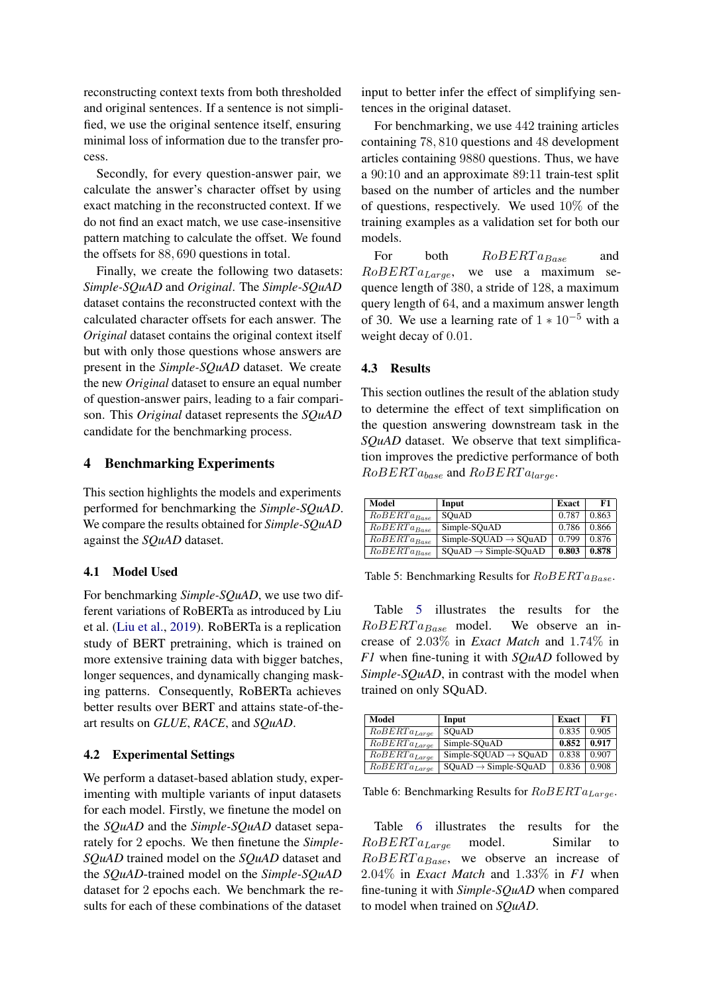reconstructing context texts from both thresholded and original sentences. If a sentence is not simplified, we use the original sentence itself, ensuring minimal loss of information due to the transfer process.

Secondly, for every question-answer pair, we calculate the answer's character offset by using exact matching in the reconstructed context. If we do not find an exact match, we use case-insensitive pattern matching to calculate the offset. We found the offsets for 88, 690 questions in total.

Finally, we create the following two datasets: *Simple-SQuAD* and *Original*. The *Simple-SQuAD* dataset contains the reconstructed context with the calculated character offsets for each answer. The *Original* dataset contains the original context itself but with only those questions whose answers are present in the *Simple-SQuAD* dataset. We create the new *Original* dataset to ensure an equal number of question-answer pairs, leading to a fair comparison. This *Original* dataset represents the *SQuAD* candidate for the benchmarking process.

### 4 Benchmarking Experiments

This section highlights the models and experiments performed for benchmarking the *Simple-SQuAD*. We compare the results obtained for *Simple-SQuAD* against the *SQuAD* dataset.

### 4.1 Model Used

For benchmarking *Simple-SQuAD*, we use two different variations of RoBERTa as introduced by Liu et al. [\(Liu et al.,](#page-8-20) [2019\)](#page-8-20). RoBERTa is a replication study of BERT pretraining, which is trained on more extensive training data with bigger batches, longer sequences, and dynamically changing masking patterns. Consequently, RoBERTa achieves better results over BERT and attains state-of-theart results on *GLUE*, *RACE*, and *SQuAD*.

### 4.2 Experimental Settings

We perform a dataset-based ablation study, experimenting with multiple variants of input datasets for each model. Firstly, we finetune the model on the *SQuAD* and the *Simple-SQuAD* dataset separately for 2 epochs. We then finetune the *Simple-SQuAD* trained model on the *SQuAD* dataset and the *SQuAD*-trained model on the *Simple-SQuAD* dataset for 2 epochs each. We benchmark the results for each of these combinations of the dataset

input to better infer the effect of simplifying sentences in the original dataset.

For benchmarking, we use 442 training articles containing 78, 810 questions and 48 development articles containing 9880 questions. Thus, we have a 90:10 and an approximate 89:11 train-test split based on the number of articles and the number of questions, respectively. We used 10% of the training examples as a validation set for both our models.

For both  $RoBERTa_{Base}$  and  $RoBERTa_{Large}$ , we use a maximum sequence length of 380, a stride of 128, a maximum query length of 64, and a maximum answer length of 30. We use a learning rate of  $1 * 10^{-5}$  with a weight decay of 0.01.

### 4.3 Results

This section outlines the result of the ablation study to determine the effect of text simplification on the question answering downstream task in the *SQuAD* dataset. We observe that text simplification improves the predictive performance of both  $RoBERTa_{base}$  and  $RoBERTa_{large}$ .

<span id="page-5-0"></span>

| Model            | Input                            | <b>Exact</b> | F1    |
|------------------|----------------------------------|--------------|-------|
| $RoBERTa_{Base}$ | SOuAD                            | 0.787        | 0.863 |
| $RoBERTa_{Base}$ | Simple-SQuAD                     | 0.786        | 0.866 |
| $RoBERTa_{Base}$ | $Simple-SOUAD \rightarrow SOuAD$ | 0.799        | 0.876 |
| $RoBERTa_{Base}$ | $SQuAD \rightarrow Simple-SQuAD$ | 0.803        | 0.878 |

Table 5: Benchmarking Results for  $RoBERTa_{Base}$ .

Table [5](#page-5-0) illustrates the results for the  $RoBERTa_{Base}$  model. We observe an increase of 2.03% in *Exact Match* and 1.74% in *F1* when fine-tuning it with *SQuAD* followed by *Simple-SQuAD*, in contrast with the model when trained on only SQuAD.

<span id="page-5-1"></span>

| Model             | Input                            | <b>Exact</b> | F1    |
|-------------------|----------------------------------|--------------|-------|
| $RoBERTa_{Large}$ | SOuAD                            | 0.835        | 0.905 |
| $RoBERTa_{Large}$ | Simple-SOuAD                     | 0.852        | 0.917 |
| $RoBERTa_{Large}$ | $Simple-SOUAD \rightarrow SOuAD$ | 0.838        | 0.907 |
| $RoBERTa_{Large}$ | $SQuAD \rightarrow Simple-SQuAD$ | 0.836        | 0.908 |

Table 6: Benchmarking Results for  $RoBERTa_{Large}$ .

Table [6](#page-5-1) illustrates the results for the  $RoBERTa_{Large}$  model. Similar to  $RoBERTa_{Base}$ , we observe an increase of 2.04% in *Exact Match* and 1.33% in *F1* when fine-tuning it with *Simple-SQuAD* when compared to model when trained on *SQuAD*.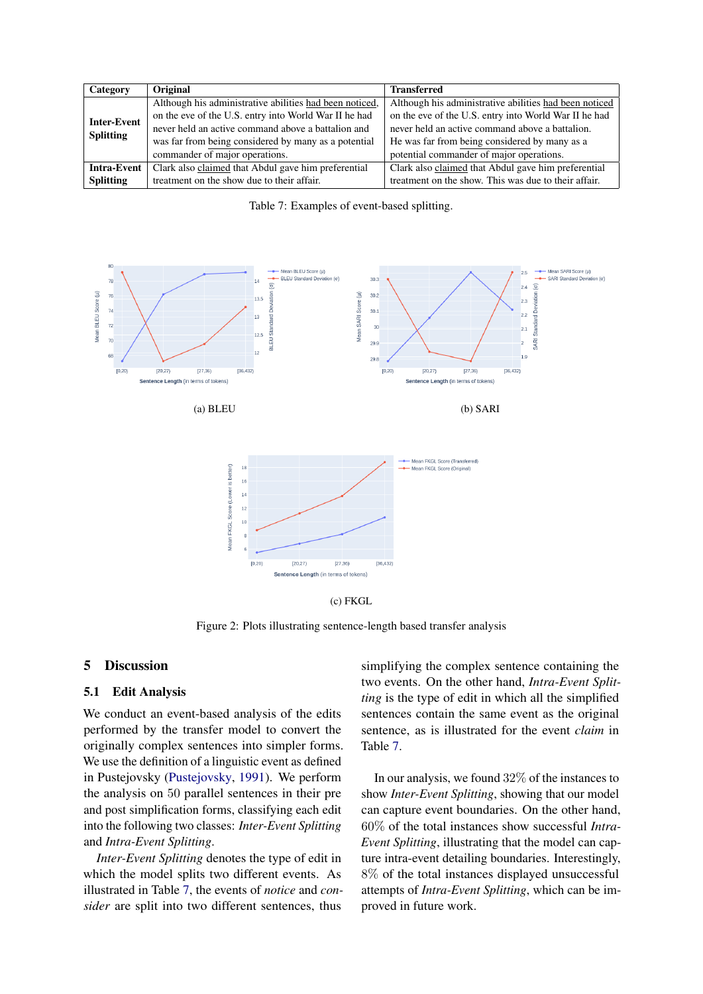<span id="page-6-0"></span>

| Category           | Original                                                | <b>Transferred</b>                                     |
|--------------------|---------------------------------------------------------|--------------------------------------------------------|
|                    | Although his administrative abilities had been noticed, | Although his administrative abilities had been noticed |
| <b>Inter-Event</b> | on the eve of the U.S. entry into World War II he had   | on the eve of the U.S. entry into World War II he had  |
|                    | never held an active command above a battalion and      | never held an active command above a battalion.        |
| <b>Splitting</b>   | was far from being considered by many as a potential    | He was far from being considered by many as a          |
|                    | commander of major operations.                          | potential commander of major operations.               |
| <b>Intra-Event</b> | Clark also claimed that Abdul gave him preferential     | Clark also claimed that Abdul gave him preferential    |
| <b>Splitting</b>   | treatment on the show due to their affair.              | treatment on the show. This was due to their affair.   |

Table 7: Examples of event-based splitting.

<span id="page-6-1"></span>

(c) FKGL

Figure 2: Plots illustrating sentence-length based transfer analysis

### 5 Discussion

#### 5.1 Edit Analysis

We conduct an event-based analysis of the edits performed by the transfer model to convert the originally complex sentences into simpler forms. We use the definition of a linguistic event as defined in Pustejovsky [\(Pustejovsky,](#page-8-21) [1991\)](#page-8-21). We perform the analysis on 50 parallel sentences in their pre and post simplification forms, classifying each edit into the following two classes: *Inter-Event Splitting* and *Intra-Event Splitting*.

*Inter-Event Splitting* denotes the type of edit in which the model splits two different events. As illustrated in Table [7,](#page-6-0) the events of *notice* and *consider* are split into two different sentences, thus

simplifying the complex sentence containing the two events. On the other hand, *Intra-Event Splitting* is the type of edit in which all the simplified sentences contain the same event as the original sentence, as is illustrated for the event *claim* in Table [7.](#page-6-0)

In our analysis, we found 32% of the instances to show *Inter-Event Splitting*, showing that our model can capture event boundaries. On the other hand, 60% of the total instances show successful *Intra-Event Splitting*, illustrating that the model can capture intra-event detailing boundaries. Interestingly, 8% of the total instances displayed unsuccessful attempts of *Intra-Event Splitting*, which can be improved in future work.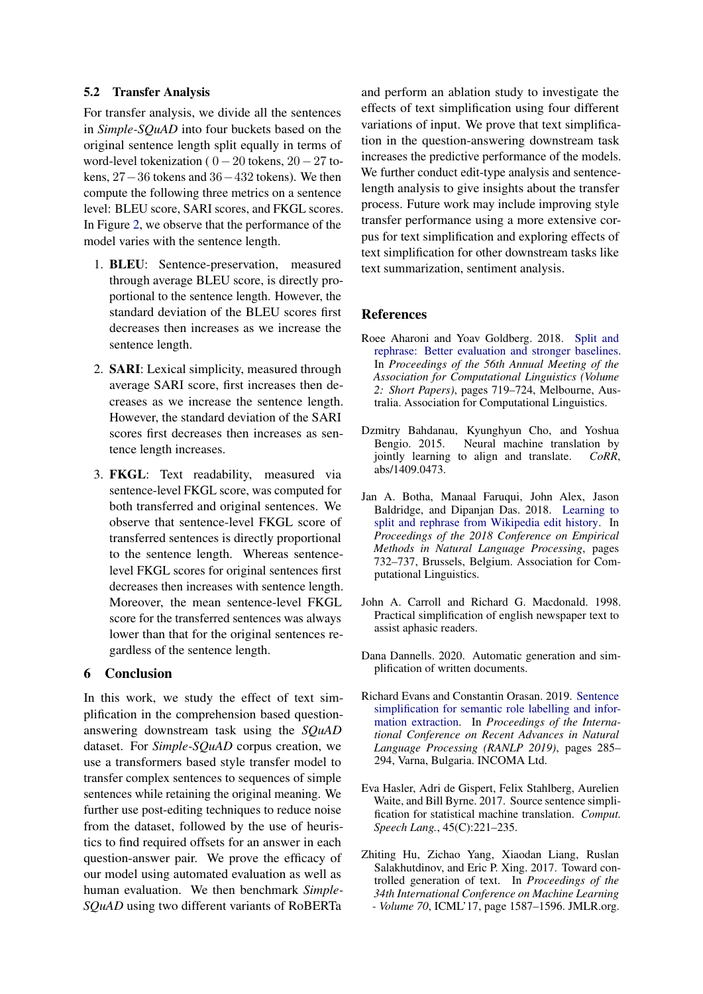### 5.2 Transfer Analysis

For transfer analysis, we divide all the sentences in *Simple-SQuAD* into four buckets based on the original sentence length split equally in terms of word-level tokenization ( 0−20 tokens, 20−27 tokens, 27−36 tokens and 36−432 tokens). We then compute the following three metrics on a sentence level: BLEU score, SARI scores, and FKGL scores. In Figure [2,](#page-6-1) we observe that the performance of the model varies with the sentence length.

- 1. BLEU: Sentence-preservation, measured through average BLEU score, is directly proportional to the sentence length. However, the standard deviation of the BLEU scores first decreases then increases as we increase the sentence length.
- 2. SARI: Lexical simplicity, measured through average SARI score, first increases then decreases as we increase the sentence length. However, the standard deviation of the SARI scores first decreases then increases as sentence length increases.
- 3. FKGL: Text readability, measured via sentence-level FKGL score, was computed for both transferred and original sentences. We observe that sentence-level FKGL score of transferred sentences is directly proportional to the sentence length. Whereas sentencelevel FKGL scores for original sentences first decreases then increases with sentence length. Moreover, the mean sentence-level FKGL score for the transferred sentences was always lower than that for the original sentences regardless of the sentence length.

## 6 Conclusion

In this work, we study the effect of text simplification in the comprehension based questionanswering downstream task using the *SQuAD* dataset. For *Simple-SQuAD* corpus creation, we use a transformers based style transfer model to transfer complex sentences to sequences of simple sentences while retaining the original meaning. We further use post-editing techniques to reduce noise from the dataset, followed by the use of heuristics to find required offsets for an answer in each question-answer pair. We prove the efficacy of our model using automated evaluation as well as human evaluation. We then benchmark *Simple-SQuAD* using two different variants of RoBERTa and perform an ablation study to investigate the effects of text simplification using four different variations of input. We prove that text simplification in the question-answering downstream task increases the predictive performance of the models. We further conduct edit-type analysis and sentencelength analysis to give insights about the transfer process. Future work may include improving style transfer performance using a more extensive corpus for text simplification and exploring effects of text simplification for other downstream tasks like text summarization, sentiment analysis.

### References

- <span id="page-7-4"></span>Roee Aharoni and Yoav Goldberg. 2018. [Split and](https://www.aclweb.org/anthology/P18-2114) [rephrase: Better evaluation and stronger baselines.](https://www.aclweb.org/anthology/P18-2114) In *Proceedings of the 56th Annual Meeting of the Association for Computational Linguistics (Volume 2: Short Papers)*, pages 719–724, Melbourne, Australia. Association for Computational Linguistics.
- <span id="page-7-6"></span>Dzmitry Bahdanau, Kyunghyun Cho, and Yoshua Neural machine translation by jointly learning to align and translate. *CoRR*, abs/1409.0473.
- <span id="page-7-5"></span>Jan A. Botha, Manaal Faruqui, John Alex, Jason Baldridge, and Dipanjan Das. 2018. [Learning to](https://www.aclweb.org/anthology/D18-1080) [split and rephrase from Wikipedia edit history.](https://www.aclweb.org/anthology/D18-1080) In *Proceedings of the 2018 Conference on Empirical Methods in Natural Language Processing*, pages 732–737, Brussels, Belgium. Association for Computational Linguistics.
- <span id="page-7-1"></span>John A. Carroll and Richard G. Macdonald. 1998. Practical simplification of english newspaper text to assist aphasic readers.
- <span id="page-7-0"></span>Dana Dannells. 2020. Automatic generation and simplification of written documents.
- <span id="page-7-3"></span>Richard Evans and Constantin Orasan. 2019. [Sentence](https://www.aclweb.org/anthology/R19-1033) [simplification for semantic role labelling and infor](https://www.aclweb.org/anthology/R19-1033)[mation extraction.](https://www.aclweb.org/anthology/R19-1033) In *Proceedings of the International Conference on Recent Advances in Natural Language Processing (RANLP 2019)*, pages 285– 294, Varna, Bulgaria. INCOMA Ltd.
- <span id="page-7-2"></span>Eva Hasler, Adri de Gispert, Felix Stahlberg, Aurelien Waite, and Bill Byrne. 2017. Source sentence simplification for statistical machine translation. *Comput. Speech Lang.*, 45(C):221–235.
- <span id="page-7-7"></span>Zhiting Hu, Zichao Yang, Xiaodan Liang, Ruslan Salakhutdinov, and Eric P. Xing. 2017. Toward controlled generation of text. In *Proceedings of the 34th International Conference on Machine Learning - Volume 70*, ICML'17, page 1587–1596. JMLR.org.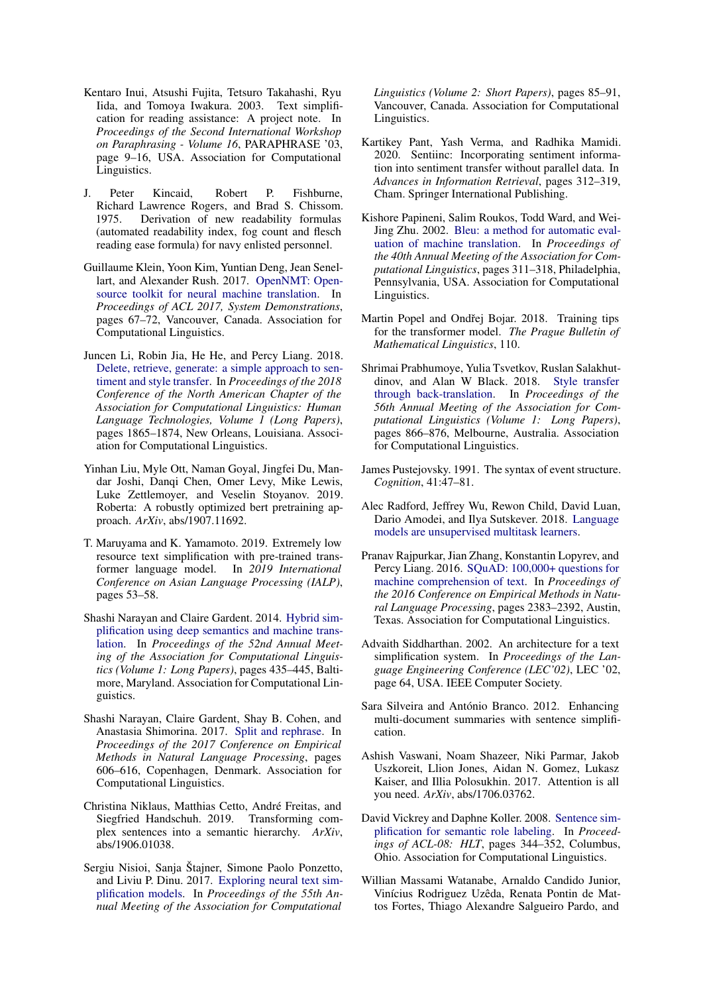- <span id="page-8-0"></span>Kentaro Inui, Atsushi Fujita, Tetsuro Takahashi, Ryu Iida, and Tomoya Iwakura. 2003. Text simplification for reading assistance: A project note. In *Proceedings of the Second International Workshop on Paraphrasing - Volume 16*, PARAPHRASE '03, page 9–16, USA. Association for Computational Linguistics.
- <span id="page-8-19"></span>J. Peter Kincaid, Robert P. Fishburne, Richard Lawrence Rogers, and Brad S. Chissom. 1975. Derivation of new readability formulas (automated readability index, fog count and flesch reading ease formula) for navy enlisted personnel.
- <span id="page-8-16"></span>Guillaume Klein, Yoon Kim, Yuntian Deng, Jean Senellart, and Alexander Rush. 2017. [OpenNMT: Open](https://www.aclweb.org/anthology/P17-4012)[source toolkit for neural machine translation.](https://www.aclweb.org/anthology/P17-4012) In *Proceedings of ACL 2017, System Demonstrations*, pages 67–72, Vancouver, Canada. Association for Computational Linguistics.
- <span id="page-8-11"></span>Juncen Li, Robin Jia, He He, and Percy Liang. 2018. [Delete, retrieve, generate: a simple approach to sen](https://www.aclweb.org/anthology/N18-1169)[timent and style transfer.](https://www.aclweb.org/anthology/N18-1169) In *Proceedings of the 2018 Conference of the North American Chapter of the Association for Computational Linguistics: Human Language Technologies, Volume 1 (Long Papers)*, pages 1865–1874, New Orleans, Louisiana. Association for Computational Linguistics.
- <span id="page-8-20"></span>Yinhan Liu, Myle Ott, Naman Goyal, Jingfei Du, Mandar Joshi, Danqi Chen, Omer Levy, Mike Lewis, Luke Zettlemoyer, and Veselin Stoyanov. 2019. Roberta: A robustly optimized bert pretraining approach. *ArXiv*, abs/1907.11692.
- <span id="page-8-14"></span>T. Maruyama and K. Yamamoto. 2019. Extremely low resource text simplification with pre-trained transformer language model. In *2019 International Conference on Asian Language Processing (IALP)*, pages 53–58.
- <span id="page-8-6"></span>Shashi Narayan and Claire Gardent. 2014. [Hybrid sim](https://www.aclweb.org/anthology/P14-1041)[plification using deep semantics and machine trans](https://www.aclweb.org/anthology/P14-1041)[lation.](https://www.aclweb.org/anthology/P14-1041) In *Proceedings of the 52nd Annual Meeting of the Association for Computational Linguistics (Volume 1: Long Papers)*, pages 435–445, Baltimore, Maryland. Association for Computational Linguistics.
- <span id="page-8-8"></span>Shashi Narayan, Claire Gardent, Shay B. Cohen, and Anastasia Shimorina. 2017. [Split and rephrase.](https://www.aclweb.org/anthology/D17-1064) In *Proceedings of the 2017 Conference on Empirical Methods in Natural Language Processing*, pages 606–616, Copenhagen, Denmark. Association for Computational Linguistics.
- <span id="page-8-5"></span>Christina Niklaus, Matthias Cetto, André Freitas, and Siegfried Handschuh. 2019. Transforming complex sentences into a semantic hierarchy. *ArXiv*, abs/1906.01038.
- <span id="page-8-7"></span>Sergiu Nisioi, Sanja Štajner, Simone Paolo Ponzetto, and Liviu P. Dinu. 2017. [Exploring neural text sim](https://www.aclweb.org/anthology/P17-2014)[plification models.](https://www.aclweb.org/anthology/P17-2014) In *Proceedings of the 55th Annual Meeting of the Association for Computational*

*Linguistics (Volume 2: Short Papers)*, pages 85–91, Vancouver, Canada. Association for Computational Linguistics.

- <span id="page-8-10"></span>Kartikey Pant, Yash Verma, and Radhika Mamidi. 2020. Sentiinc: Incorporating sentiment information into sentiment transfer without parallel data. In *Advances in Information Retrieval*, pages 312–319, Cham. Springer International Publishing.
- <span id="page-8-18"></span>Kishore Papineni, Salim Roukos, Todd Ward, and Wei-Jing Zhu. 2002. [Bleu: a method for automatic eval](https://www.aclweb.org/anthology/P02-1040)[uation of machine translation.](https://www.aclweb.org/anthology/P02-1040) In *Proceedings of the 40th Annual Meeting of the Association for Computational Linguistics*, pages 311–318, Philadelphia, Pennsylvania, USA. Association for Computational Linguistics.
- <span id="page-8-13"></span>Martin Popel and Ondřej Bojar. 2018. Training tips for the transformer model. *The Prague Bulletin of Mathematical Linguistics*, 110.
- <span id="page-8-9"></span>Shrimai Prabhumoye, Yulia Tsvetkov, Ruslan Salakhutdinov, and Alan W Black. 2018. [Style transfer](https://www.aclweb.org/anthology/P18-1080) [through back-translation.](https://www.aclweb.org/anthology/P18-1080) In *Proceedings of the 56th Annual Meeting of the Association for Computational Linguistics (Volume 1: Long Papers)*, pages 866–876, Melbourne, Australia. Association for Computational Linguistics.
- <span id="page-8-21"></span>James Pustejovsky. 1991. The syntax of event structure. *Cognition*, 41:47–81.
- <span id="page-8-17"></span>Alec Radford, Jeffrey Wu, Rewon Child, David Luan, Dario Amodei, and Ilya Sutskever. 2018. [Language](https://d4mucfpksywv.cloudfront.net/better-language-models/language-models.pdf) [models are unsupervised multitask learners.](https://d4mucfpksywv.cloudfront.net/better-language-models/language-models.pdf)
- <span id="page-8-15"></span>Pranav Rajpurkar, Jian Zhang, Konstantin Lopyrev, and Percy Liang. 2016. [SQuAD: 100,000+ questions for](https://www.aclweb.org/anthology/D16-1264) [machine comprehension of text.](https://www.aclweb.org/anthology/D16-1264) In *Proceedings of the 2016 Conference on Empirical Methods in Natural Language Processing*, pages 2383–2392, Austin, Texas. Association for Computational Linguistics.
- <span id="page-8-2"></span>Advaith Siddharthan. 2002. An architecture for a text simplification system. In *Proceedings of the Language Engineering Conference (LEC'02)*, LEC '02, page 64, USA. IEEE Computer Society.
- <span id="page-8-3"></span>Sara Silveira and António Branco. 2012. Enhancing multi-document summaries with sentence simplification.
- <span id="page-8-12"></span>Ashish Vaswani, Noam Shazeer, Niki Parmar, Jakob Uszkoreit, Llion Jones, Aidan N. Gomez, Lukasz Kaiser, and Illia Polosukhin. 2017. Attention is all you need. *ArXiv*, abs/1706.03762.
- <span id="page-8-4"></span>David Vickrey and Daphne Koller. 2008. [Sentence sim](https://www.aclweb.org/anthology/P08-1040)[plification for semantic role labeling.](https://www.aclweb.org/anthology/P08-1040) In *Proceedings of ACL-08: HLT*, pages 344–352, Columbus, Ohio. Association for Computational Linguistics.
- <span id="page-8-1"></span>Willian Massami Watanabe, Arnaldo Candido Junior, Vinícius Rodriguez Uzêda, Renata Pontin de Mattos Fortes, Thiago Alexandre Salgueiro Pardo, and